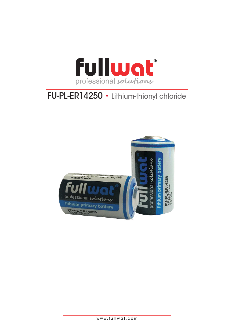

# FU-PL-ER14250 • Lithium-thionyl chloride

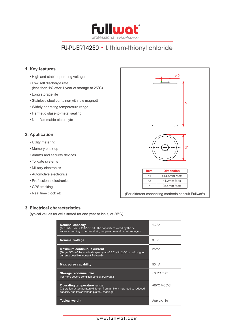

## FU-PL-ER14250 • Lithium-thionyl chloride

### **1. Key features**

- High and stable operating voltage
- Low self discharge rate (less than 1% after 1 year of storage at 25ºC)
- Long storage life
- Stainless steel container(with low magnet)
- Widely operating temperature range
- Hermetic glass-to-metal sealing
- • Non-flammable electrolyte

### **2. Application**

- Utility metering
- Memory back-up
- Alarms and security devices
- Tollgate systems
- Military electronics
- Automotive electronics
- Professional electronics
- GPS tracking
- Real time clock etc.



### **3. Electrical characteristics**

(typical values for cells stored for one year or les s, at 25ºC).

| <b>Nominal capacity</b><br>(At 1 mA, +25 C, 2.0V cut off. The capacity restored by the cell<br>varies according to current drain, temperature and cut off voltage.) | 1.2Ah                             |
|---------------------------------------------------------------------------------------------------------------------------------------------------------------------|-----------------------------------|
| <b>Nominal voltage</b>                                                                                                                                              | 3.6V                              |
| <b>Maximum continuous current</b><br>(To get 50% of the nominal capacity at +25 C with 2.0V cut off. Higher<br>currents possible, consult Fullwat®)                 | 25mA                              |
| Max. pulse capability                                                                                                                                               | 50mA                              |
| Storage recommended<br>(for more severe condition consult Fullwat®)                                                                                                 | $+30^{\circ}$ C max               |
| Operating temperature range<br>(Operation at temperature different from ambient may lead to reduced<br>capacity and lower voltage plateau readings)                 | $-60^{\circ}$ C /+85 $^{\circ}$ C |
| <b>Typical weight</b>                                                                                                                                               | Approx.11q                        |